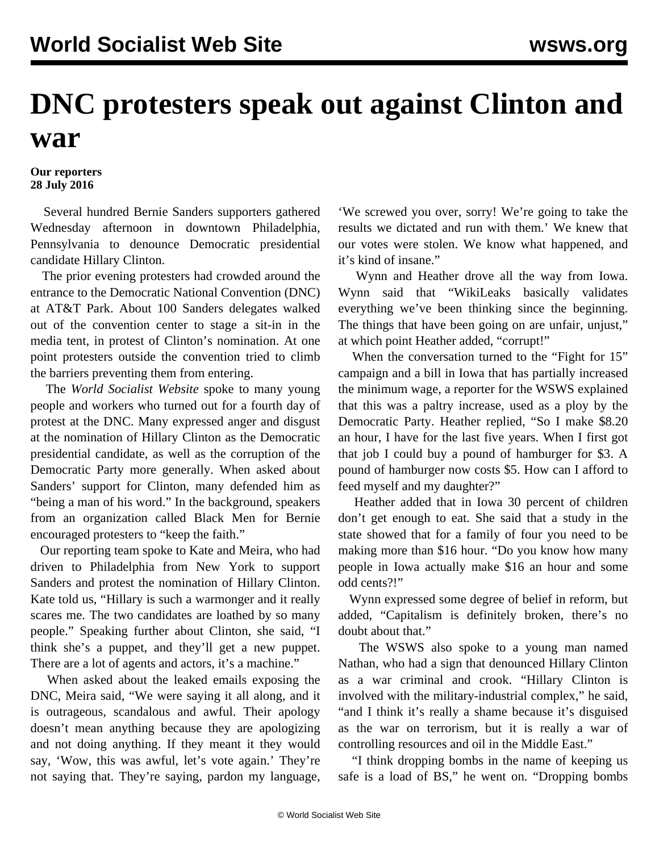## **DNC protesters speak out against Clinton and war**

## **Our reporters 28 July 2016**

 Several hundred Bernie Sanders supporters gathered Wednesday afternoon in downtown Philadelphia, Pennsylvania to denounce Democratic presidential candidate Hillary Clinton.

 The prior evening protesters had crowded around the entrance to the Democratic National Convention (DNC) at AT&T Park. About 100 Sanders delegates walked out of the convention center to stage a sit-in in the media tent, in protest of Clinton's nomination. At one point protesters outside the convention tried to climb the barriers preventing them from entering.

 The *World Socialist Website* spoke to many young people and workers who turned out for a fourth day of protest at the DNC. Many expressed anger and disgust at the nomination of Hillary Clinton as the Democratic presidential candidate, as well as the corruption of the Democratic Party more generally. When asked about Sanders' support for Clinton, many defended him as "being a man of his word." In the background, speakers from an organization called Black Men for Bernie encouraged protesters to "keep the faith."

 Our reporting team spoke to Kate and Meira, who had driven to Philadelphia from New York to support Sanders and protest the nomination of Hillary Clinton. Kate told us, "Hillary is such a warmonger and it really scares me. The two candidates are loathed by so many people." Speaking further about Clinton, she said, "I think she's a puppet, and they'll get a new puppet. There are a lot of agents and actors, it's a machine."

 When asked about the leaked emails exposing the DNC, Meira said, "We were saying it all along, and it is outrageous, scandalous and awful. Their apology doesn't mean anything because they are apologizing and not doing anything. If they meant it they would say, 'Wow, this was awful, let's vote again.' They're not saying that. They're saying, pardon my language, 'We screwed you over, sorry! We're going to take the results we dictated and run with them.' We knew that our votes were stolen. We know what happened, and it's kind of insane."

 Wynn and Heather drove all the way from Iowa. Wynn said that "WikiLeaks basically validates everything we've been thinking since the beginning. The things that have been going on are unfair, unjust," at which point Heather added, "corrupt!"

 When the conversation turned to the "Fight for 15" campaign and a bill in Iowa that has partially increased the minimum wage, a reporter for the WSWS explained that this was a paltry increase, used as a ploy by the Democratic Party. Heather replied, "So I make \$8.20 an hour, I have for the last five years. When I first got that job I could buy a pound of hamburger for \$3. A pound of hamburger now costs \$5. How can I afford to feed myself and my daughter?"

 Heather added that in Iowa 30 percent of children don't get enough to eat. She said that a study in the state showed that for a family of four you need to be making more than \$16 hour. "Do you know how many people in Iowa actually make \$16 an hour and some odd cents?!"

 Wynn expressed some degree of belief in reform, but added, "Capitalism is definitely broken, there's no doubt about that."

 The WSWS also spoke to a young man named Nathan, who had a sign that denounced Hillary Clinton as a war criminal and crook. "Hillary Clinton is involved with the military-industrial complex," he said, "and I think it's really a shame because it's disguised as the war on terrorism, but it is really a war of controlling resources and oil in the Middle East."

 "I think dropping bombs in the name of keeping us safe is a load of BS," he went on. "Dropping bombs